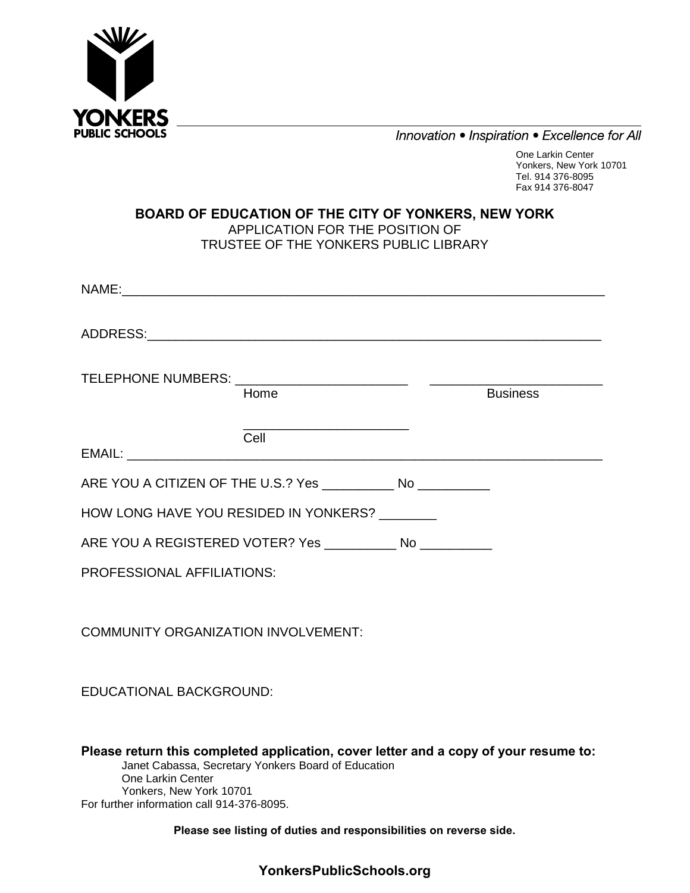

Innovation • Inspiration • Excellence for All

One Larkin Center Yonkers, New York 10701 Tel. 914 376-8095 Fax 914 376-8047

#### **BOARD OF EDUCATION OF THE CITY OF YONKERS, NEW YORK** APPLICATION FOR THE POSITION OF TRUSTEE OF THE YONKERS PUBLIC LIBRARY

|                                                                 | Home |  | <b>Business</b> |
|-----------------------------------------------------------------|------|--|-----------------|
|                                                                 | Cell |  |                 |
| ARE YOU A CITIZEN OF THE U.S.? Yes _____________ No ___________ |      |  |                 |
| HOW LONG HAVE YOU RESIDED IN YONKERS? ________                  |      |  |                 |
| ARE YOU A REGISTERED VOTER? Yes ____________ No ___________     |      |  |                 |
| <b>PROFESSIONAL AFFILIATIONS:</b>                               |      |  |                 |
| <b>COMMUNITY ORGANIZATION INVOLVEMENT:</b>                      |      |  |                 |
| <b>EDUCATIONAL BACKGROUND:</b>                                  |      |  |                 |

**Please return this completed application, cover letter and a copy of your resume to:**  Janet Cabassa, Secretary Yonkers Board of Education One Larkin Center Yonkers, New York 10701 For further information call 914-376-8095.

**Please see listing of duties and responsibilities on reverse side.**

**YonkersPublicSchools.org**